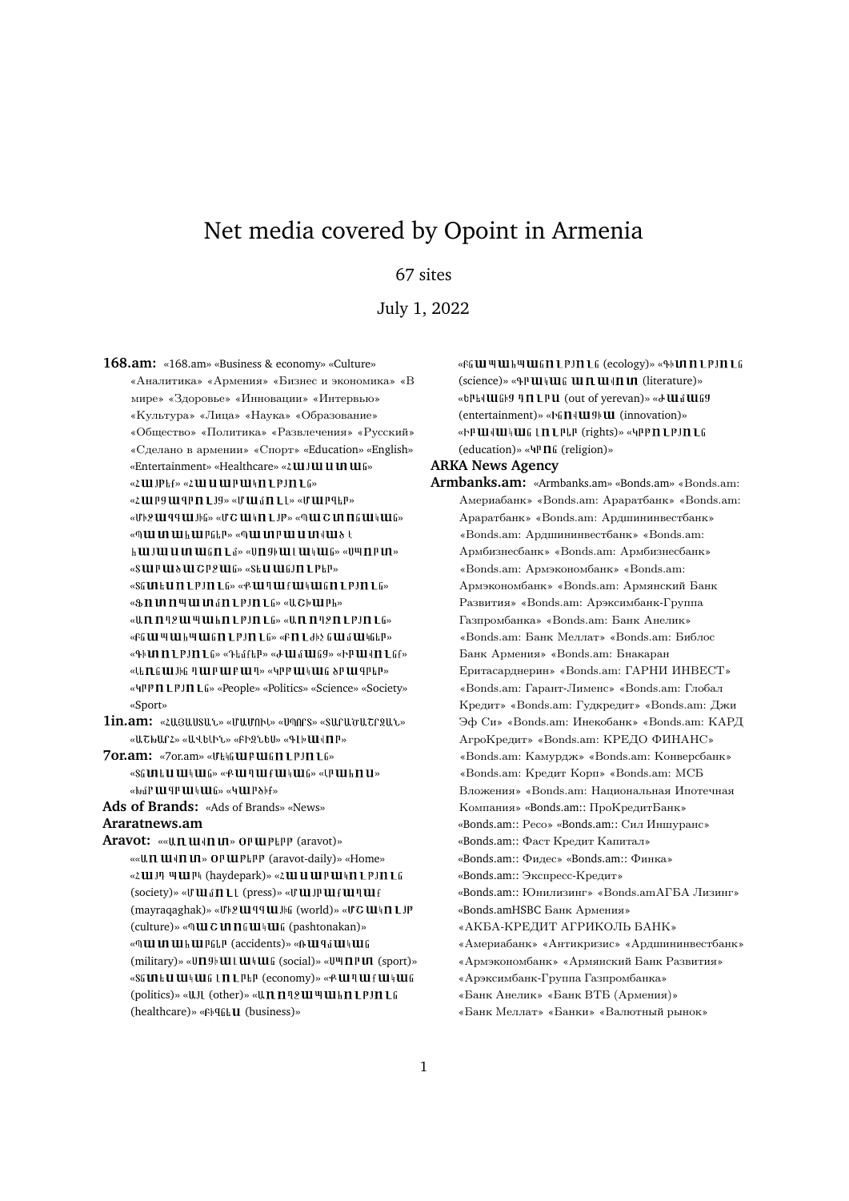# Net media covered by Opoint in Armenia

# 67 sites

July 1, 2022

**168.am:** «168.am» «Business & economy» «Culture» «Аналитика» «Армения» «Бизнес и экономика» «В мире» «Здоровье» «Инновации» «Интервью» «Культура» «Лица» «Наука» «Образование» «Общество» «Политика» «Развлечения» «Русский» «Сделано в армении» «Спорт» «Education» «English» «Entertainment» «Healthcare» «2 UI JUI U UI UI G» « 2 U I I P L f » « 2 U U U U I P U I I L P J N L G » «ՀШРЭШ ЧРП L J9» «ՄШ մП L L» «ՄШ Р Ч ЕР» «ՄԻ 2 ԱՍ զգ ԱԼ JԻն» «Մ Շ ԱՍ Կ n L JP» «Պ ԱԼ Շ ԱՐ n ն ԱՍ Կ ԱԼ ն» «ՊԱԼԱ ԱԼԽԱԼ Քներ» «ՊԱԼ ԱՐԲԱԼ Ա ԱՐՎԱԼծ Է **h lui Jui ui ui lui fin L**ú» «Un 9 lui Lui lui fin «U "In Pun» «SUIPUI&UI CP2UIG» «SEU UIGJN LPEP» «SGUREUNLPJNLG» «ՔШՊШքШԿШGNLPJNLG» «  $\delta$  n m n | u m i n L p I n L fi » « U C | u l P h » «Աnnn2 uu պuu hn L p Jn L G» «Աnnn2n L p Jn L G» «Բն ԱՍ Կ ԱՍ հ Կ ԱՍ ն n L P J n L G» «Բ n L ԺԻ չ ն ԱՍ մ ԱՍ Կներ» «Գի**ԼՈ Ո 1 PJN 1** ն» «Դեմքե<sup>ր</sup>» «Ժ ШմШն9» «ԻԲШվП 1 նք» «ԱԵՐՆ G W JԻG Պ W P W P W P W - «ԿՐ P W Կ W G & P W T P E P» « 4PP  $n$  LPJ $n$  Lfi» «People» «Politics» «Science» «Society» «Sport» **1in.am:** « zusuusut.» « wurned.» « wones » « sucureutes »

- «ԱՇԽԱՐՀ» «ԱՎԵԼԻՆ» «ԲԻԶՆԵՍ» «ԳԼԻШՎПԲ»
- **7or.am:** «7or.am» « » «SG UNE LI UNE UNIG» «BUN TULLE UNIG UNIG » «LP UNE EN US «ԽմԲ ԱԼԳԲ ԱԼԿ ԱԼն» «ԿԱԼԲծիք»

**Ads of Brands:** «Ads of Brands» «News» **Araratnews.am**

Aravot: ««Աn шվn un» **op шр**ыр (aravot)» «« U. Π. Η Η Η Η Μ » Ο Ρ Η Ρ ΕΡΡ (aravot-daily) » «Home» « ZUIJ PUIP (haydepark) » « ZUI U UI PUI I I PJ I L G  $(society)$ » « $**U**$  $**u**$  $**U**$  $**l**$  $**U**$  **(press)» «** $**U**$  $**U**$  $**u**$  $**u**$  $**u**$  $**u**$  $**u**$  $(\text{maxraqaghak})$ » « $\text{U}$ <sup>b</sup> $2$ **UI** $9$ III  $\text{J}$ h  $(\text{world})$ » « $\text{UC}$ **UI** $\text{M}$ III  $\text{L}$  $\text{J}$ P (culture)» «ՊШСИПЫШЧШЫ (pashtonakan)» «ՊШ И ШЬ ШРСЫР (accidents)» «ՌШ ЧА ШԿША (military)» «Un 9h Ul L Ul HULG (social)» «U<sup>u</sup>l n P Un (sport)» «SGUILEU UILUIG LIILPLP (economy)» «PUIPUIFUILUIG (politics)» «UJL (other)» «Unnn2uu uu hn LPJn LG (healthcare)» «Բիզնե**U** (business)»

«Բն ԱՍ Կ ԱՍ հ Կ ԱՍ ն II LP J II L G (ecology)» «ԳԻ ԱΠ I L P J II L ն (science)» «ԳՐШԿШն ШПШ ЧП Ш (literature)» «bPbd Ulfbg Tn LPU (out of yerevan)» «d Ulfulfg (entertainment)» «Ին $\Pi$ վ $\Pi$ Il (innovation)» «Իրավական Լп Լ Բեր (rights)» «Կրթ п Լ թյп Լն  $(eduction)$ » « $\Pi$ <sup>n</sup>  $\Pi$ <sup>6</sup> (religion)»

## **ARKA News Agency**

**Armbanks.am:** «Armbanks.am» «Bonds.am» «Bonds.am: Америабанк» «Bonds.am: Араратбанк» «Bonds.am: Араратбанк» «Bonds.am: Ардшининвестбанк» «Bonds.am: Ардшининвестбанк» «Bonds.am: Армбизнесбанк» «Bonds.am: Армбизнесбанк» «Bonds.am: Армэкономбанк» «Bonds.am: Армэкономбанк» «Bonds.am: Армянский Банк Развития» «Bonds.am: Арэксимбанк-Группа Газпромбанка» «Bonds.am: Банк Анелик» «Bonds.am: Банк Меллат» «Bonds.am: Библос Банк Армения» «Bonds.am: Бнакаран Еритасарднерин» «Bonds.am: ГАРНИ ИНВЕСТ» «Bonds.am: Гарант-Лименс» «Bonds.am: Глобал Кредит» «Bonds.am: Гудкредит» «Bonds.am: Джи Эф Си» «Bonds.am: Инекобанк» «Bonds.am: КАРД АгроKредит» «Bonds.am: КРЕДО ФИНАНС» «Bonds.am: Камурдж» «Bonds.am: Конверсбанк» «Bonds.am: Кредит Корп» «Bonds.am: МСБ Вложения» «Bonds.am: Национальная Ипотечная Компания» «Bonds.am:: ПроКредитБанк» «Bonds.am:: Ресо» «Bonds.am:: Сил Иншуранс» «Bonds.am:: Фаст Кредит Капитал» «Bonds.am:: Фидес» «Bonds.am:: Финка» «Bonds.am:: Экспресс-Кредит» «Bonds.am:: Юнилизинг» «Bonds.amАГБА Лизинг» «Bonds.amHSBC Банк Армения» «АКБА-КРЕДИТ АГРИКОЛЬ БАНК» «Америабанк» «Антикризис» «Ардшининвестбанк» «Армэкономбанк» «Армянский Банк Развития» «Арэксимбанк-Группа Газпромбанка» «Банк Анелик» «Банк ВТБ (Армения)» «Банк Меллат» «Банки» «Валютный рынок»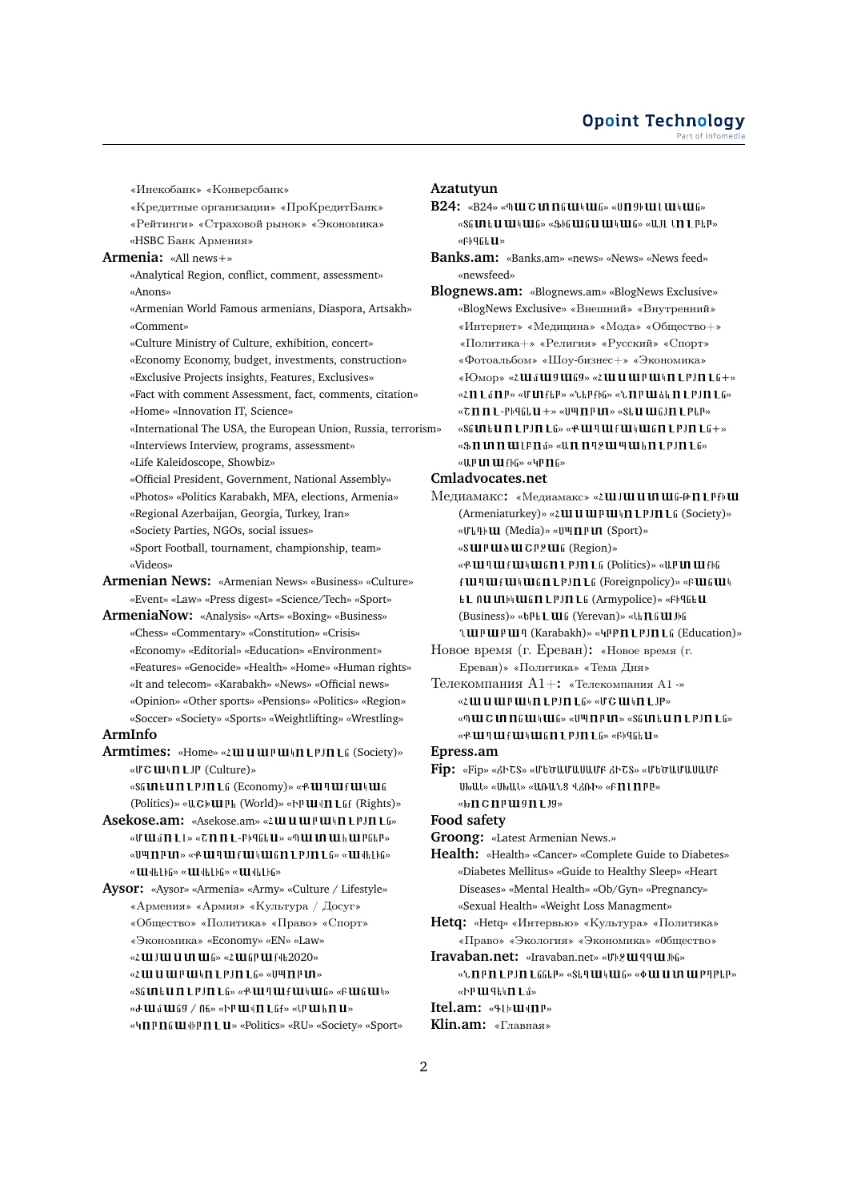«Инекобанк» «Конверсбанк»

- «Кредитные организации» «ПроКредитБанк»
- «Рейтинги» «Страховой рынок» «Экономика»
- «HSBC Банк Армения»

# **Armenia:** «All news+»

- «Analytical Region, conflict, comment, assessment» «Anons»
- «Armenian World Famous armenians, Diaspora, Artsakh» «Comment»
- «Culture Ministry of Culture, exhibition, concert»
- «Economy Economy, budget, investments, construction»
- «Exclusive Projects insights, Features, Exclusives»
- «Fact with comment Assessment, fact, comments, citation»
- «Home» «Innovation IT, Science»
- «International The USA, the European Union, Russia, terrorism» «Interviews Interview, programs, assessment»
- 
- «Life Kaleidoscope, Showbiz»
- «Official President, Government, National Assembly»
- «Photos» «Politics Karabakh, MFA, elections, Armenia»
- «Regional Azerbaijan, Georgia, Turkey, Iran»
- «Society Parties, NGOs, social issues»
- «Sport Football, tournament, championship, team» «Videos»
- **Armenian News:** «Armenian News» «Business» «Culture» «Event» «Law» «Press digest» «Science/Tech» «Sport»
- **ArmeniaNow:** «Analysis» «Arts» «Boxing» «Business» «Chess» «Commentary» «Constitution» «Crisis» «Economy» «Editorial» «Education» «Environment» «Features» «Genocide» «Health» «Home» «Human rights» «It and telecom» «Karabakh» «News» «Official news» «Opinion» «Other sports» «Pensions» «Politics» «Region» «Soccer» «Society» «Sports» «Weightlifting» «Wrestling»

#### **ArmInfo**

- Armtimes: «Home» «2*lll ll ll ll ll l l l l l l l l l l (Society)*» «UC  $U\$ II LJP (Culture)»
	- «SGUILUILPIILG (Economy)» «ՔШ IШ f Ш I Ш GUIG (Politics)» «UC<sup>p</sup>UI<sup>p</sup>h (World)» «
	<sub>N</sub>PUI<sup>I</sup>II Lff (Rights)»
- Asekose.am: «Asekose.am» «<sup>2</sup> III II III P III I P J II L G» « J' W o n 1 1 » « 7 n n 1 - P + 9 o k U » « 9 W U U W k W P G k P » « 1141 14 14 14 2 14 2 14 14 14 14 14 14 14 15 14 16 16 16 16 16 16 16 16 17 18 18 19 10 11 11 11 11 11 11 11 1 «  $\mathbf{u}$  delba» «  $\mathbf{u}$  delba» «  $\mathbf{u}$  delba»
- **Aysor:** «Aysor» «Armenia» «Army» «Culture / Lifestyle» «Армения» «Армия» «Культура / Досуг» «Общество» «Политика» «Право» «Спорт» «Экономика» «Economy» «EN» «Law» «2 UU JUU UU UU UU G» «2 UU GP UU F H= 2020»
	- « LUI UU PU | II LP JII LG» « U UI PU PU »
	- « » « » « »
	- « JU & UI & 9 / A&» « PUI | II L & f » « PUI k II U »
	- «ЧПРПСШФРП L U» «Politics» «RU» «Society» «Sport»

### **Azatutyun**

- **B24:** «B24» «ՊШС **mnG** *uniture*» «Un9b *uniture*» «Տն ul ե ul ul կ ul ն» «Ֆին ul ն ul ul կ ul ն» «Ա JL է n L P եր» «Fb96111»
- **Banks.am:** «Banks.am» «news» «News» «News feed» «newsfeed»
- **Blognews.am:** «Blognews.am» «BlogNews Exclusive» «BlogNews Exclusive» «Внешний» «Внутренний» «Интернет» «Медицина» «Мода» «Общество+» «Политика+» «Религия» «Русский» «Спорт» «Фотоальбом» «Шоу-бизнес+» «Экономика» «Юмор» «2ШаШ9Ш69» «2ШЦШРШ4П LPJП L6+» «ՀՈ Լմnբ» «Մut քեր» «Ներքին» «Նnբաձև n լթյn լն»  $\mathbb{R}$   $\mathbb{R}$   $\mathbb{R}$  +  $\mathbb{R}$  +  $\mathbb{R}$  +  $\mathbb{R}$   $\mathbb{R}$  +  $\mathbb{R}$   $\mathbb{R}$  +  $\mathbb{R}$  +  $\mathbb{R}$  +  $\mathbb{R}$  +  $\mathbb{R}$  +  $\mathbb{R}$  +  $\mathbb{R}$  +  $\mathbb{R}$  +  $\mathbb{R}$  +  $\mathbb{R}$  +  $\mathbb{R}$  +  $\mathbb{R}$  +  $\mathbb{R}$   $@Sf$ un Lun L P J n L (s > < P W H W H W H W G N L P J N L G + > «  $\delta$  n un n un le n a » « Un n n 2 un m un h n l p J n l a »  $\alpha$ IIIIIIIIII III $f$ h $f_{\text{DS}}$  $\alpha$ AII $f$ II $f_{\text{DS}}$

#### **Cmladvocates.net**

Медиамакс: «Медиамакс» «2**Ш JШ II II III** G-0 n LPfb III (Armeniaturkey)» «2 UI U UI P UI | II L P J II L G (Society)» «Մե<sup>դի</sup>Ш (Media)» «ՍҸПРШ (Sport)» «SUIPUI δUI CP2UI G (Region)» «ՔШ ЧШ Н Ш Ч Ш СП L Р Ј П L G (Politics)» «Ա Р И Ш Ј Ի С f UI <sup>q</sup> UI <sup>4</sup> HUI <sup>6</sup> HUI <sup>p</sup> In L<sub>6</sub> (Foreignpolicy)» «F UI 6 UI <sup>4</sup> ե 1 ՈԱ ՄՈՒ ԱՍ ն Π L P J Π L ն (Armypolice)» «ԲԻ զնե Ա

(Business)» «Ե<sup>ր</sup>ե **Լ Ա**lն (Yerevan)» «Ա **Ո** ն **Ա** Սեն *LUPUPUP* (Karabakh)» « *IPP* **Π LPJ Π L**<sup>6</sup> (Education)»

- Новое время (г. Ереван)**:** «Новое время (г. Ереван)» «Политика» «Тема Дня»
- Телекомпания А1+**:** «Телекомпания А1 -» « 2 W U U P U H L P J I L G » « U G U H L J P » «ՊШСИП БЩ ЧЦ G» « Ս Щ П Р И » «SG И Н Ц П L Р Ј П L G» « PUI II UI fUI II UI GIT LPJII LG» «Fb9GEU»
- **Epress.am**
- **Fip:** «Fip» «ՃԻՇՏ» «ՄԵԾԱՄԱՍԱՄԲ ՃԻՇՏ» «ՄԵԾԱՄԱՍԱՄԲ ՍԽԱԼ» «ՍԽԱԼ» «ԱՌԱՆՑ ՎՃՌԻ» «ԲΠԼՈԲԸ» «ԽncnrwgntJg»
- **Food safety**
- **Groong:** «Latest Armenian News.»
- **Health:** «Health» «Cancer» «Complete Guide to Diabetes» «Diabetes Mellitus» «Guide to Healthy Sleep» «Heart Diseases» «Mental Health» «Ob/Gyn» «Pregnancy» «Sexual Health» «Weight Loss Managment»
- **Hetq:** «Hetq» «Интервью» «Культура» «Политика» «Право» «Экология» «Экономика» « бщество»
- Iravaban.net: «Iravaban.net» «U<sup>12</sup>III<sup>qq</sup>III Mi» «*Lnrn Lrin LGGER»* «SET **III** 4 **III** G» « **4 III III III** PIPER» «Իր ազահեր եմ» Itel.am: «ԳԼԻ**ա**վпր»
- **Klin.am:** «Главная»
-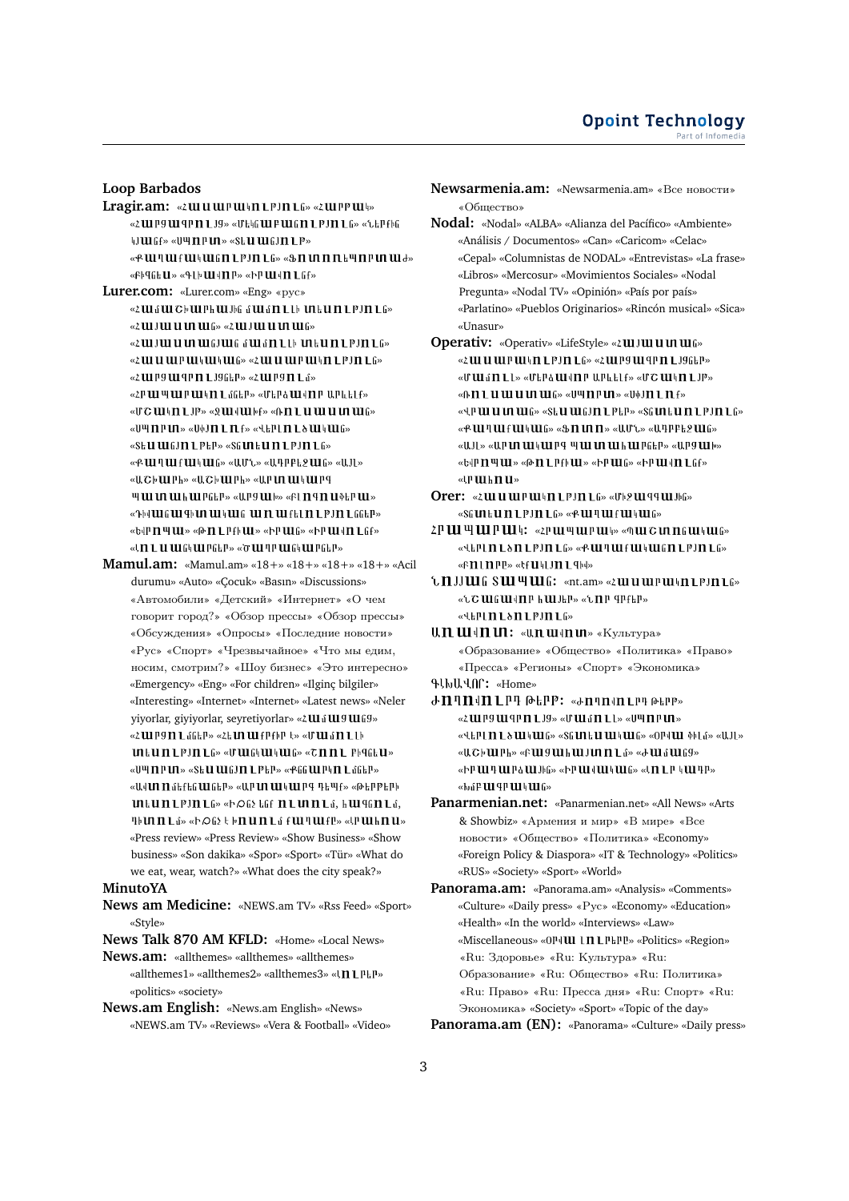**Loop Barbados**

Lragir.am: « ¿ **ul u u l u l u l l l P J n L** fi» « ¿ **u l P u l** i» «ՀШРУШ ЧРП LJY» «Մեկն ШР ШնП LPJN LG» «Ներքին WILL Gf» «UЧПРИ» «StU ШGJП LP» «Ք աղաքականություն» «Ֆոտոռեպոբտաժ» «ԲԻզնեԱ» «ԳԼԻШվПР» «ԻՐШվП Lնք» **Lurer.com:** «Lurer.com» «Eng» «рус» «Համաշխարհային մամnւկ տեսnւթյnւն»  $\omega$  in the main  $\frac{1}{2}$  ( $\omega$  ) in the main  $\frac{1}{2}$ 

«Հայաստանյան մամn են տեսո եթյո են» « 2 W U U P U H U H U G» « 2 W U U P U H D L P J D L G» « 2 UU P SUU P P I L J S G L P » « 2 UU P S I L G » «ՀԲ ԱՐ ԿՐ ԱՐ ԱՐԿՈ Լմներ» «Մերձ ԱՐՎՈՐ ԱԲևելք» «UC  $\mathbf u \mathbf u \mathbf n$  L JP» «Q  $\mathbf u \mathbf u \mathbf u$  bf» «A  $\mathbf n$  L  $\mathbf u$   $\mathbf u$   $\mathbf u$   $\mathbf m$   $\mathbf u \mathbf u$ «Սպпри» «Սփյп L n ք» «Վերլ n L ծ ական» «SEU WEJN LPEP» «SEULU II LPJN LG» «ՔШՊШfШկШն» «ԱՄՆ» «ԱԴԲԲԵ 2Шն» «Ա ԼԼ» «ԱՇխարի» «ԱՇխարի» «Արտակարգ WHI IN III ET PEEP» «RPS III b» «EI N TH II DEP III » «ԴԽШնШ ԳԽП ШԿШն ШП Ш քել п 1-PJN 1-66ԵP» «ԵվP TI 44 LLL» «Թ TI 1. P f b LLL» «Ի P LLL ն» «Ի P LLI 4 TI 1. ն f» « In Lu tu Ghtu PGEP» « or tu TP tu Ghtu PGEP»

**Mamul.am:** «Mamul.am» «18+» «18+» «18+» «18+» «Acil durumu» «Auto» «Çocuk» «Basın» «Discussions» «Автомобили» «Детский» «Интернет» «О чем говорит город?» «Обзор прессы» «Обзор прессы» «Обсуждения» «Опросы» «Последние новости» «Рус» «Спорт» «Чрезвычайное» «Что мы едим, носим, смотрим?» «Шоу бизнес» «Это интересно» «Emergency» «Eng» «For children» «Ilginç bilgiler» «Interesting» «Internet» «Internet» «Latest news» «Neler yiyorlar, giyiyorlar, seyretiyorlar» «2 $u$ i il  $u$ g $u$ igg» «ՀШР9П LմնեP» «Հե In ШքРքիP է» «Մ Шմ n L Lի  $\mathbf u \in \mathbf u$  . If  $\mathbf u \in \mathbb R^n$  and  $\mathbf u \in \mathbf W$  and  $\mathbf u \in \mathbf W$  and  $\mathbf u \in \mathbf W$  . «Սպпри» «Տես ան Jn Lptp» «Քննարկп Lմներ» «Ավ**ԼՈ Ո**մեքեն ԱԼնե<sup>ր</sup>» «ԱԲ ԼՈ ԱԼկ ԱԼԲ Գեպք» «Թեբթերի  $\mathbf u \mathbf h \mathbf u \mathbf n$   $\mathbf L$   $\mathbf P$  ,  $\mathbf n \mathbf h$   $\mathbf w$  and  $\mathbf w$  and  $\mathbf h$  is a set  $\mathbf h$  is a set  $\mathbf h$  is a set  $\mathbf w$  is a set  $\mathbf w$  is a set  $\mathbf w$  is a set  $\mathbf w$  is a set  $\mathbf w$  is a set  $\mathbf w$  is a set  $\mathbf w$  is *I*} **UIII** Li<sup>2</sup> «
<sup>b</sup> Of<sub>2</sub> } } <sup>n</sup> UII Li f UIIII f<sup>12</sup> «
b UI h II U «Press review» «Press Review» «Show Business» «Show business» «Son dakika» «Spor» «Sport» «Tür» «What do we eat, wear, watch?» «What does the city speak?»

#### **MinutoYA**

**News am Medicine:** «NEWS.am TV» «Rss Feed» «Sport» «Style»

**News Talk 870 AM KFLD:** «Home» «Local News»

**News.am:** «allthemes» «allthemes» «allthemes» «allthemes1» «allthemes2» «allthemes3» «
In LPLP» «politics» «society»

**News.am English:** «News.am English» «News» «NEWS.am TV» «Reviews» «Vera & Football» «Video» **Newsarmenia.am:** «Newsarmenia.am» «Все новости» «Общество»

**Nodal:** «Nodal» «ALBA» «Alianza del Pacífico» «Ambiente» «Análisis / Documentos» «Can» «Caricom» «Celac» «Cepal» «Columnistas de NODAL» «Entrevistas» «La frase» «Libros» «Mercosur» «Movimientos Sociales» «Nodal Pregunta» «Nodal TV» «Opinión» «País por país» «Parlatino» «Pueblos Originarios» «Rincón musical» «Sica» «Unasur»

**Operativ:** «Operativ» «LifeStyle» «2 **III J III III III** fi» « 2 W U W P W \ n L P J n L G » « 2 W P 9 W 9 P n L J 9 G L P » «ՄԱԼմNLL» «ՄեԲձԱԼՎNԲ ԱԲևելք» «ՄՇԱԼԿNLJP»  $@{\hbox{$\hbox{$\hbox{$\sf N$}$}}{\hbox{$\hbox{$\sf I$}}} {\hbox{$\hbox{$\sf L$}}} {\hbox{$\hbox{$\sf U$}}} {\hbox{$\hbox{{\sf U}$}}} {\hbox{$\sf U$}} {\hbox{$\hbox{{\sf U}$}}} {\hbox{$\sf U$}} {\hbox{$\hbox{{\sf U}$}}} \cdots @{\hbox{$\sf U$}} {\hbox{$\sf U$}} {\hbox{$\hbox{{ \sf P}$}}} \cdots @{\hbox{$\sf U$}} {\hbox{$\sf V$}} \cdots @{\hbox{$\sf U$}} {\hbox{$\sf U$}} \cdots @{\hbox{$\sf U$}} {\hbox{$\sf U$}} \cdots$ « » « » « » « » « » « » « » «ԱJL» «ԱP UN UU Կ UU P Վ UU UN UU Խ ԱՄ Բներ» «ԱԲ 9 UU Խ» «ԵվP n պ ul» «Թ n L P քի ul» «Իր ul ն» «Իր ul վn L նք» «Մահոս»

- **Orer:** « **zulu un pullum 1 PJH1** for « IFb **9 Ull 9 9 Ull Jbff**or «SGUILLUILLEUILLE» «ՔШЛШҒШԿШG»
- 2<sup>p</sup> UI <sup>u</sup> UI <sup>p</sup> UI <sup>h</sup>: «<sup>2p</sup> UI <sup>u</sup> UI <sup>p</sup> UI h » « 0 UI C UI n 6 UI h UI 6» «Վեբել n L ծ n L p J n L ն» «Ք tu կ tu ք tu կ tu ն n L p J n L ն» « » « »
- **:** «nt.am» « » «ՆՇանավոր հայեր» «Նոր գրքեր» «Վերլп Lծn Lpjn Lն»
- **U.П. Ш | П Ш: «U.n Ш | П Ш» «Культура»** «Образование» «Общество» «Политика» «Право» «Пресса» «Регионы» «Спорт» «Экономика»
- **:** «Home»
- **:** « » « LUPS UI TP II L JS» « U UI G II L L » « U TI P UI » «Վերէ**n էծ ա**կան» «Տնաեսական» «Օրվա ֆիէմ» «Ավե» «ԱՇԽШԲհ» «ԲШ9ШհШЈИП Lú» «ԺШմШն9» «Իր ար արձային» «Իր արարան» «Լn լր կադր» «ԽմԲԱԼԳԲԱԼԿԱԼն»
- **Panarmenian.net:** «Panarmenian.net» «All News» «Arts & Showbiz» «Армения и мир» «В мире» «Все новости» «Общество» «Политика» «Economy» «Foreign Policy & Diaspora» «IT & Technology» «Politics» «RUS» «Society» «Sport» «World»
- **Panorama.am:** «Panorama.am» «Analysis» «Comments» «Culture» «Daily press» «Рус» «Economy» «Education» «Health» «In the world» «Interviews» «Law» «Miscellaneous» «0<sup>p</sup> Ul 1nL<sup>p</sup><sub>F</sub><sup>p</sup><sup>p</sup>» «Politics» «Region» «Ru: Здоровье» «Ru: Культура» «Ru: Образование» «Ru: Общество» «Ru: Политика» «Ru: Право» «Ru: Пресса дня» «Ru: Спорт» «Ru: Экономика» «Society» «Sport» «Topic of the day» **Panorama.am (EN):** «Panorama» «Culture» «Daily press»